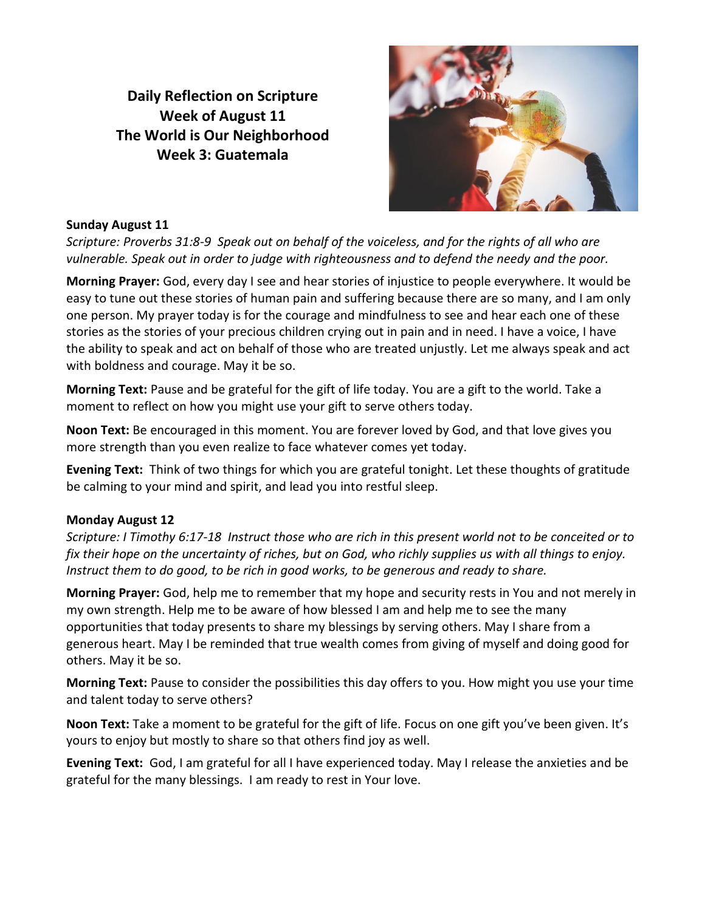**Daily Reflection on Scripture Week of August 11 The World is Our Neighborhood Week 3: Guatemala**



#### **Sunday August 11**

*Scripture: Proverbs 31:8-9 Speak out on behalf of the voiceless, and for the rights of all who are vulnerable. Speak out in order to judge with righteousness and to defend the needy and the poor.*

**Morning Prayer:** God, every day I see and hear stories of injustice to people everywhere. It would be easy to tune out these stories of human pain and suffering because there are so many, and I am only one person. My prayer today is for the courage and mindfulness to see and hear each one of these stories as the stories of your precious children crying out in pain and in need. I have a voice, I have the ability to speak and act on behalf of those who are treated unjustly. Let me always speak and act with boldness and courage. May it be so.

**Morning Text:** Pause and be grateful for the gift of life today. You are a gift to the world. Take a moment to reflect on how you might use your gift to serve others today.

**Noon Text:** Be encouraged in this moment. You are forever loved by God, and that love gives you more strength than you even realize to face whatever comes yet today.

**Evening Text:** Think of two things for which you are grateful tonight. Let these thoughts of gratitude be calming to your mind and spirit, and lead you into restful sleep.

#### **Monday August 12**

*Scripture: I Timothy 6:17-18 Instruct those who are rich in this present world not to be conceited or to fix their hope on the uncertainty of riches, but on God, who richly supplies us with all things to enjoy. Instruct them to do good, to be rich in good works, to be generous and ready to share.*

**Morning Prayer:** God, help me to remember that my hope and security rests in You and not merely in my own strength. Help me to be aware of how blessed I am and help me to see the many opportunities that today presents to share my blessings by serving others. May I share from a generous heart. May I be reminded that true wealth comes from giving of myself and doing good for others. May it be so.

**Morning Text:** Pause to consider the possibilities this day offers to you. How might you use your time and talent today to serve others?

**Noon Text:** Take a moment to be grateful for the gift of life. Focus on one gift you've been given. It's yours to enjoy but mostly to share so that others find joy as well.

**Evening Text:** God, I am grateful for all I have experienced today. May I release the anxieties and be grateful for the many blessings. I am ready to rest in Your love.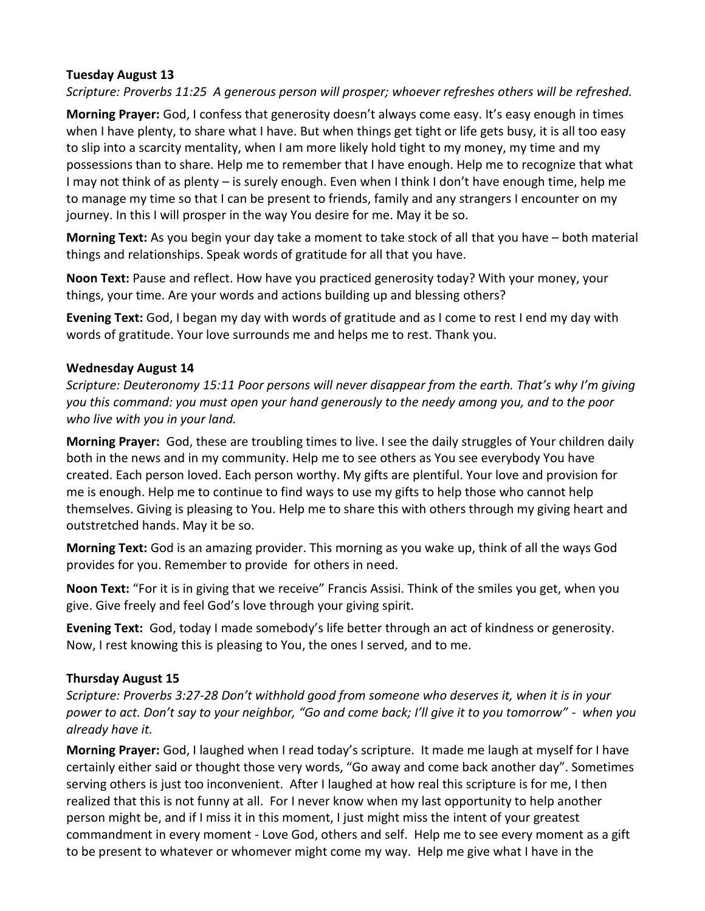## **Tuesday August 13**

*Scripture: Proverbs 11:25 A generous person will prosper; whoever refreshes others will be refreshed.* 

**Morning Prayer:** God, I confess that generosity doesn't always come easy. It's easy enough in times when I have plenty, to share what I have. But when things get tight or life gets busy, it is all too easy to slip into a scarcity mentality, when I am more likely hold tight to my money, my time and my possessions than to share. Help me to remember that I have enough. Help me to recognize that what I may not think of as plenty – is surely enough. Even when I think I don't have enough time, help me to manage my time so that I can be present to friends, family and any strangers I encounter on my journey. In this I will prosper in the way You desire for me. May it be so.

**Morning Text:** As you begin your day take a moment to take stock of all that you have – both material things and relationships. Speak words of gratitude for all that you have.

**Noon Text:** Pause and reflect. How have you practiced generosity today? With your money, your things, your time. Are your words and actions building up and blessing others?

**Evening Text:** God, I began my day with words of gratitude and as I come to rest I end my day with words of gratitude. Your love surrounds me and helps me to rest. Thank you.

## **Wednesday August 14**

*Scripture: Deuteronomy 15:11 Poor persons will never disappear from the earth. That's why I'm giving you this command: you must open your hand generously to the needy among you, and to the poor who live with you in your land.*

**Morning Prayer:** God, these are troubling times to live. I see the daily struggles of Your children daily both in the news and in my community. Help me to see others as You see everybody You have created. Each person loved. Each person worthy. My gifts are plentiful. Your love and provision for me is enough. Help me to continue to find ways to use my gifts to help those who cannot help themselves. Giving is pleasing to You. Help me to share this with others through my giving heart and outstretched hands. May it be so.

**Morning Text:** God is an amazing provider. This morning as you wake up, think of all the ways God provides for you. Remember to provide for others in need.

**Noon Text:** "For it is in giving that we receive" Francis Assisi. Think of the smiles you get, when you give. Give freely and feel God's love through your giving spirit.

**Evening Text:** God, today I made somebody's life better through an act of kindness or generosity. Now, I rest knowing this is pleasing to You, the ones I served, and to me.

# **Thursday August 15**

*Scripture: Proverbs 3:27-28 Don't withhold good from someone who deserves it, when it is in your power to act. Don't say to your neighbor, "Go and come back; I'll give it to you tomorrow" - when you already have it.*

**Morning Prayer:** God, I laughed when I read today's scripture. It made me laugh at myself for I have certainly either said or thought those very words, "Go away and come back another day". Sometimes serving others is just too inconvenient. After I laughed at how real this scripture is for me, I then realized that this is not funny at all. For I never know when my last opportunity to help another person might be, and if I miss it in this moment, I just might miss the intent of your greatest commandment in every moment - Love God, others and self. Help me to see every moment as a gift to be present to whatever or whomever might come my way. Help me give what I have in the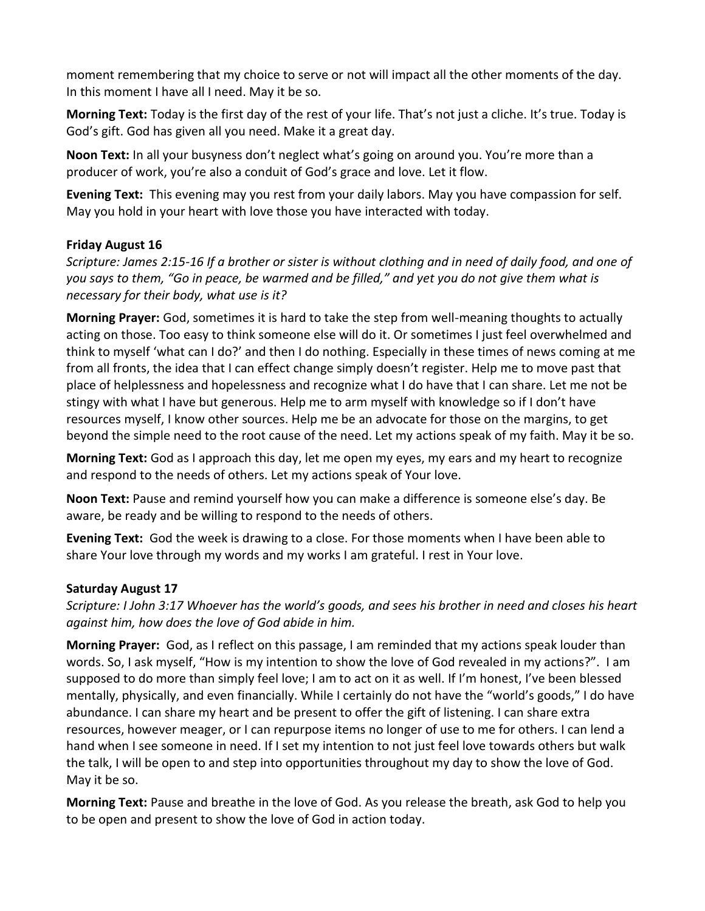moment remembering that my choice to serve or not will impact all the other moments of the day. In this moment I have all I need. May it be so.

**Morning Text:** Today is the first day of the rest of your life. That's not just a cliche. It's true. Today is God's gift. God has given all you need. Make it a great day.

**Noon Text:** In all your busyness don't neglect what's going on around you. You're more than a producer of work, you're also a conduit of God's grace and love. Let it flow.

**Evening Text:** This evening may you rest from your daily labors. May you have compassion for self. May you hold in your heart with love those you have interacted with today.

## **Friday August 16**

*Scripture: James 2:15-16 If a brother or sister is without clothing and in need of daily food, and one of you says to them, "Go in peace, be warmed and be filled," and yet you do not give them what is necessary for their body, what use is it?*

**Morning Prayer:** God, sometimes it is hard to take the step from well-meaning thoughts to actually acting on those. Too easy to think someone else will do it. Or sometimes I just feel overwhelmed and think to myself 'what can I do?' and then I do nothing. Especially in these times of news coming at me from all fronts, the idea that I can effect change simply doesn't register. Help me to move past that place of helplessness and hopelessness and recognize what I do have that I can share. Let me not be stingy with what I have but generous. Help me to arm myself with knowledge so if I don't have resources myself, I know other sources. Help me be an advocate for those on the margins, to get beyond the simple need to the root cause of the need. Let my actions speak of my faith. May it be so.

**Morning Text:** God as I approach this day, let me open my eyes, my ears and my heart to recognize and respond to the needs of others. Let my actions speak of Your love.

**Noon Text:** Pause and remind yourself how you can make a difference is someone else's day. Be aware, be ready and be willing to respond to the needs of others.

**Evening Text:** God the week is drawing to a close. For those moments when I have been able to share Your love through my words and my works I am grateful. I rest in Your love.

## **Saturday August 17**

*Scripture: I John 3:17 Whoever has the world's goods, and sees his brother in need and closes his heart against him, how does the love of God abide in him.*

**Morning Prayer:** God, as I reflect on this passage, I am reminded that my actions speak louder than words. So, I ask myself, "How is my intention to show the love of God revealed in my actions?". I am supposed to do more than simply feel love; I am to act on it as well. If I'm honest, I've been blessed mentally, physically, and even financially. While I certainly do not have the "world's goods," I do have abundance. I can share my heart and be present to offer the gift of listening. I can share extra resources, however meager, or I can repurpose items no longer of use to me for others. I can lend a hand when I see someone in need. If I set my intention to not just feel love towards others but walk the talk, I will be open to and step into opportunities throughout my day to show the love of God. May it be so.

**Morning Text:** Pause and breathe in the love of God. As you release the breath, ask God to help you to be open and present to show the love of God in action today.